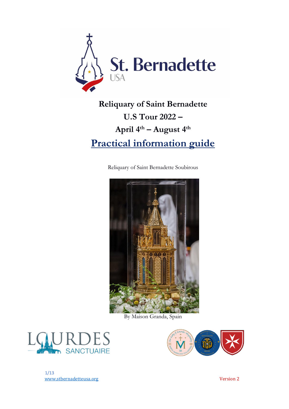

# **Reliquary of Saint Bernadette U.S Tour 2022 – April 4th – August 4 th Practical information guide**

Reliquary of Saint Bernadette Soubirous



By Maison Granda, Spain





1/13 www.stbernadetteusa.org version 2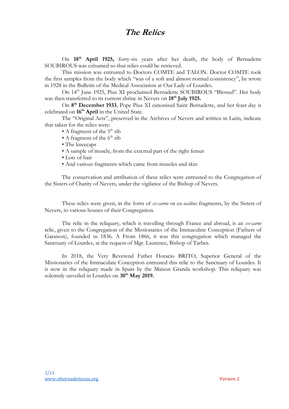## **The Relics**

On **18th April 1925,** forty-six years after her death, the body of Bernadette SOUBIROUS was exhumed so that relics could be retrieved.

This mission was entrusted to Doctors COMTE and TALON. Doctor COMTE took the first samples from the body which "was of a soft and almost normal consistency", he wrote in 1928 in the Bulletin of the Medical Association at Our Lady of Lourdes.

On 14th June 1925, Pius XI proclaimed Bernadette SOUBIROUS "Blessed". Her body was then transferred to its current shrine in Nevers on **18th July 1925.**

On **8 th December 1933**, Pope Pius XI canonised Saint Bernadette, and her feast day is celebrated on **16th April** in the United State.

The "Original Acts", preserved in the Archives of Nevers and written in Latin, indicate that taken for the relics were:

- A fragment of the  $5<sup>th</sup>$  rib
- A fragment of the  $6<sup>th</sup>$  rib
- The kneecaps
- A sample of muscle, from the external part of the right femur
- Lots of hair
- And various fragments which came from muscles and skin

The conservation and attribution of these relics were entrusted to the Congregation of the Sisters of Charity of Nevers, under the vigilance of the Bishop of Nevers.

These relics were given, in the form of *ex-carne* or ex-*ossibus* fragments, by the Sisters of Nevers, to various houses of their Congregation.

The relic in the reliquary, which is travelling through France and abroad, is an *ex-carne* relic, given to the Congregation of the Missionaries of the Immaculate Conception (Fathers of Garaison), founded in 1836. A From 1866, it was this congregation which managed the Sanctuary of Lourdes, at the request of Mgr. Laurence, Bishop of Tarbes.

In 2018, the Very Reverend Father Horacio BRITO, Superior General of the Missionaries of the Immaculate Conception entrusted this relic to the Sanctuary of Lourdes. It is now in the reliquary made in Spain by the Maison Granda workshop. This reliquary was solemnly unveiled in Lourdes on **30th May 2019.**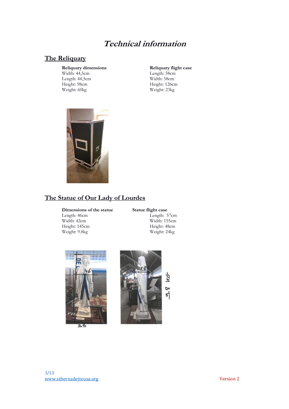## **Technical information**

#### **The Reliquary**

Length: 44,5cm<br>Height: 98cm Height: 98cm<br>
Weight: 60kg<br>
Weight: 23kg<br>
Weight: 23kg

**Reliquary dimensions**<br> **Reliquary flight case**<br> **Reliquary flight case**<br> **Reliquary flight case**<br> **Reliquary flight case** Width: 44,5cm<br>
Length: 44,5cm<br>
Length: 44,5cm<br>
Width: 58cm<br>
Width: 58cm Weight: 23kg



## **The Statue of Our Lady of Lourdes**

## **Dimensions of the statue Statue flight case**<br>Length: 46cm<br>Length: 5 Length: 46cm<br>
Width: 42cm<br>
Width: 155cm<br>
Width: 155cm

Weight:  $9.8kg$ 

Width: 155cm<br>Height: 48cm Height: 145cm<br>
Weight: 9.8kg<br>
Weight: 24kg



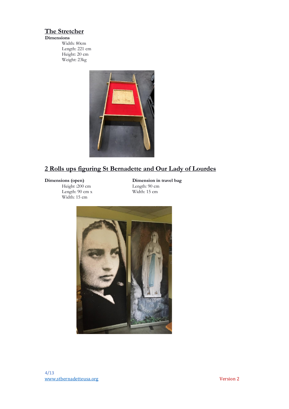### **The Stretcher**

**Dimensions**

Width: 80cm Length: 221 cm Height: 20 cm Weight: 23kg



## **2 Rolls ups figuring St Bernadette and Our Lady of Lourdes**

Height :200 cm<br>
Length: 90 cm x<br>
Width: 15 cm Length:  $90 \text{ cm} x$ Width: 15 cm

**Dimensions (open) Dimension in travel bag**<br>Height :200 cm **Dimension in travel bag**<br>Length: 90 cm

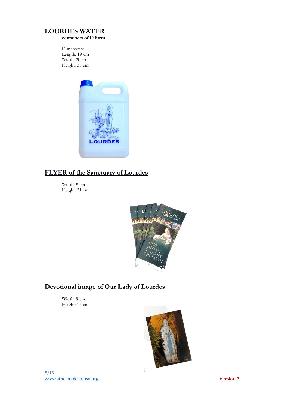#### **LOURDES WATER**

**containers of 10 litres**

Dimensions Length: 19 cm Width: 20 cm Height: 35 cm



### **FLYER of the Sanctuary of Lourdes**

Width: 9 cm Height: 21 cm



### **Devotional image of Our Lady of Lourdes**

Width: 9 cm Height: 13 cm

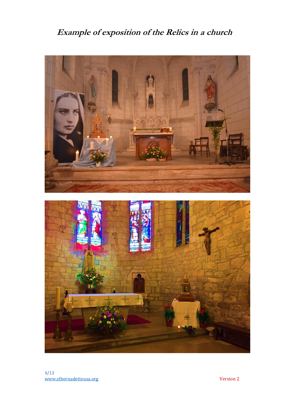## **Example of exposition of the Relics in a church**

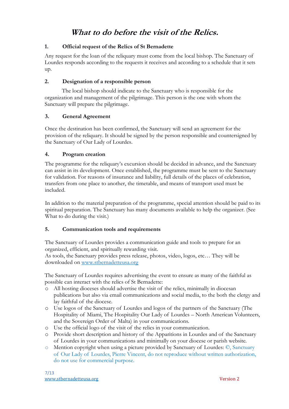## **What to do before the visit of the Relics.**

#### **1. Official request of the Relics of St Bernadette**

Any request for the loan of the reliquary must come from the local bishop. The Sanctuary of Lourdes responds according to the requests it receives and according to a schedule that it sets up.

#### **2. Designation of a responsible person**

The local bishop should indicate to the Sanctuary who is responsible for the organization and management of the pilgrimage. This person is the one with whom the Sanctuary will prepare the pilgrimage.

#### **3. General Agreement**

Once the destination has been confirmed, the Sanctuary will send an agreement for the provision of the reliquary. It should be signed by the person responsible and countersigned by the Sanctuary of Our Lady of Lourdes.

#### **4. Program creation**

The programme for the reliquary's excursion should be decided in advance, and the Sanctuary can assist in its development. Once established, the programme must be sent to the Sanctuary for validation. For reasons of insurance and liability, full details of the places of celebration, transfers from one place to another, the timetable, and means of transport used must be included.

In addition to the material preparation of the programme, special attention should be paid to its spiritual preparation. The Sanctuary has many documents available to help the organizer. (See What to do during the visit.)

#### **5. Communication tools and requirements**

The Sanctuary of Lourdes provides a communication guide and tools to prepare for an organized, efficient, and spiritually rewarding visit.

As tools, the Sanctuary provides press release, photos, video, logos, etc… They will be downloaded on www.stbernadetteusa.org

The Sanctuary of Lourdes requires advertising the event to ensure as many of the faithful as possible can interact with the relics of St Bernadette:

- o All hosting dioceses should advertise the visit of the relics, minimally in diocesan publications but also via email communications and social media, to the both the clergy and lay faithful of the diocese.
- o Use logos of the Sanctuary of Lourdes and logos of the partners of the Sanctuary (The Hospitality of Miami, The Hospitality Our Lady of Lourdes – North American Volunteers, and the Sovereign Order of Malta) in your communications.
- o Use the official logo of the visit of the relics in your communication.
- o Provide short description and history of the Apparitions in Lourdes and of the Sanctuary of Lourdes in your communications and minimally on your diocese or parish website.
- o Mention copyright when using a picture provided by Sanctuary of Lourdes: ©, Sanctuary of Our Lady of Lourdes, Pierre Vincent, do not reproduce without written authorization, do not use for commercial purpose.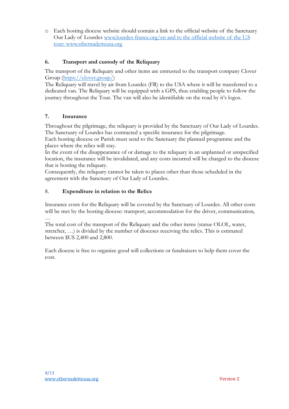o Each hosting diocese website should contain a link to the official website of the Sanctuary Our Lady of Lourdes www.lourdes-france.org/en and to the official website of the U.S tour: www.stbernadetteusa.org

#### **6. Transport and custody of the Reliquary**

The transport of the Reliquary and other items are entrusted to the transport company Clover Group (https://clover.group/)

The Reliquary will travel by air from Lourdes (FR) to the USA where it will be transferred to a dedicated van. The Reliquary will be equipped with a GPS, thus enabling people to follow the journey throughout the Tour. The van will also be identifiable on the road by it's logos.

#### **7. Insurance**

Throughout the pilgrimage, the reliquary is provided by the Sanctuary of Our Lady of Lourdes. The Sanctuary of Lourdes has contracted a specific insurance for the pilgrimage.

Each hosting diocese or Parish must send to the Sanctuary the planned programme and the places where the relics will stay.

In the event of the disappearance of or damage to the reliquary in an unplanned or unspecified location, the insurance will be invalidated, and any costs incurred will be charged to the diocese that is hosting the reliquary.

Consequently, the reliquary cannot be taken to places other than those scheduled in the agreement with the Sanctuary of Our Lady of Lourdes.

#### 8. **Expenditure in relation to the Relics**

Insurance costs for the Reliquary will be covered by the Sanctuary of Lourdes. All other costs will be met by the hosting diocese: transport, accommodation for the driver, communication, …

The total cost of the transport of the Reliquary and the other items (statue OLOL, water, stretcher, …) is divided by the number of dioceses receiving the relics. This is estimated between \$US 2,400 and 2,800.

Each diocese is free to organize good will collections or fundraisers to help them cover the cost.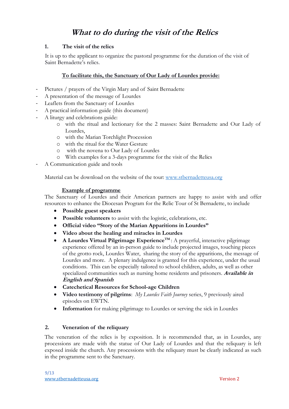## **What to do during the visit of the Relics**

#### **1. The visit of the relics**

It is up to the applicant to organize the pastoral programme for the duration of the visit of Saint Bernadette's relics.

#### **To facilitate this, the Sanctuary of Our Lady of Lourdes provide:**

- Pictures / prayers of the Virgin Mary and of Saint Bernadette
- A presentation of the message of Lourdes
- Leaflets from the Sanctuary of Lourdes
- A practical information guide (this document)
- A liturgy and celebrations guide:
	- o with the ritual and lectionary for the 2 masses: Saint Bernadette and Our Lady of Lourdes,
	- o with the Marian Torchlight Procession
	- o with the ritual for the Water Gesture
	- o with the novena to Our Lady of Lourdes
	- o With examples for a 3-days programme for the visit of the Relics
- A Communication guide and tools

Material can be download on the website of the tour: www.stbernadetteusa.org

#### **Example of programme**

The Sanctuary of Lourdes and their American partners are happy to assist with and offer resources to enhance the Diocesan Program for the Relic Tour of St Bernadette, to include

- **Possible guest speakers**
- **Possible volunteers** to assist with the logistic, celebrations, etc.
- **Official video "Story of the Marian Apparitions in Lourdes"**
- **Video about the healing and miracles in Lourdes**
- **A Lourdes Virtual Pilgrimage ExperienceTM** : A prayerful, interactive pilgrimage experience offered by an in-person guide to include projected images, touching pieces of the grotto rock, Lourdes Water, sharing the story of the apparitions, the message of Lourdes and more. A plenary indulgence is granted for this experience, under the usual conditions. This can be especially tailored to school children, adults, as well as other specialized communities such as nursing home residents and prisoners. **Available in English and Spanish**
- **Catechetical Resources for School-age Children**
- **Video testimony of pilgrims**: *My Lourdes Faith Journey* series, 9 previously aired episodes on EWTN.
- **Information** for making pilgrimage to Lourdes or serving the sick in Lourdes

#### **2. Veneration of the reliquary**

The veneration of the relics is by exposition. It is recommended that, as in Lourdes, any processions are made with the statue of Our Lady of Lourdes and that the reliquary is left exposed inside the church. Any processions with the reliquary must be clearly indicated as such in the programme sent to the Sanctuary.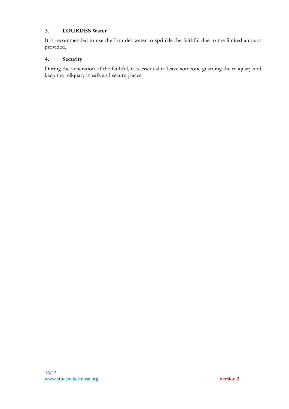#### **3. LOURDES Water**

It is recommended to use the Lourdes water to sprinkle the faithful due to the limited amount provided.

#### **4. Security**

During the veneration of the faithful, it is essential to leave someone guarding the reliquary and keep the reliquary in safe and secure places.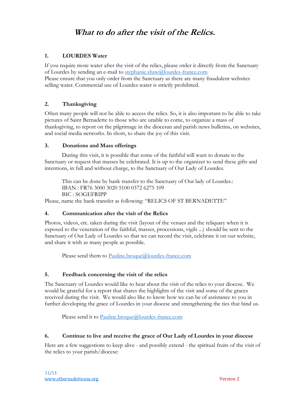## **What to do after the visit of the Relics.**

#### **1. LOURDES Water**

If you require more water after the visit of the relics, please order it directly from the Sanctuary of Lourdes by sending an e-mail to stephanie.shaw@lourdes-france.com

Please ensure that you only order from the Sanctuary as there are many fraudulent websites selling water. Commercial use of Lourdes water is strictly prohibited.

#### **2. Thanksgiving**

Often many people will not be able to access the relics. So, it is also important to be able to take pictures of Saint Bernadette to those who are unable to come, to organize a mass of thanksgiving, to report on the pilgrimage in the diocesan and parish news bulletins, on websites, and social media networks. In short, to share the joy of this visit.

#### **3. Donations and Mass offerings**

During this visit, it is possible that some of the faithful will want to donate to the Sanctuary or request that masses be celebrated. It is up to the organizer to send these gifts and intentions, in full and without charge, to the Sanctuary of Our Lady of Lourdes.

This can be done by bank transfer to the Sanctuary of Our lady of Lourdes.: IBAN : FR76 3000 3020 5100 0372 6275 109 BIC : SOGEFRIPP

Please, name the bank transfer as following: "RELICS OF ST BERNADETTE"

#### **4. Communication after the visit of the Relics**

Photos, videos, etc. taken during the visit (layout of the venues and the reliquary when it is exposed to the veneration of the faithful, masses, processions, vigils ...) should be sent to the Sanctuary of Our Lady of Lourdes so that we can record the visit, celebrate it on our website, and share it with as many people as possible.

Please send them to Pauline.broque@lourdes-france.com

#### **5. Feedback concerning the visit of the relics**

The Sanctuary of Lourdes would like to hear about the visit of the relics to your diocese. We would be grateful for a report that shares the highlights of the visit and some of the graces received during the visit. We would also like to know how we can be of assistance to you in further developing the grace of Lourdes in your diocese and strengthening the ties that bind us.

Please send it to Pauline.broque@lourdes-france.com

#### **6. Continue to live and receive the grace of Our Lady of Lourdes in your diocese**

Here are a few suggestions to keep alive - and possibly extend - the spiritual fruits of the visit of the relics to your parish/diocese: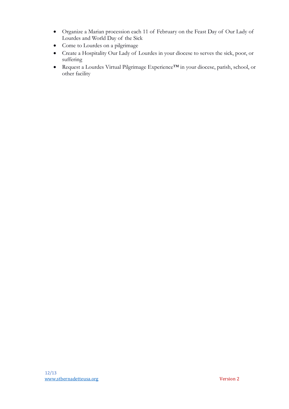- Organize a Marian procession each 11 of February on the Feast Day of Our Lady of Lourdes and World Day of the Sick
- Come to Lourdes on a pilgrimage
- Create a Hospitality Our Lady of Lourdes in your diocese to serves the sick, poor, or suffering
- Request a Lourdes Virtual Pilgrimage Experience™ in your diocese, parish, school, or other facility